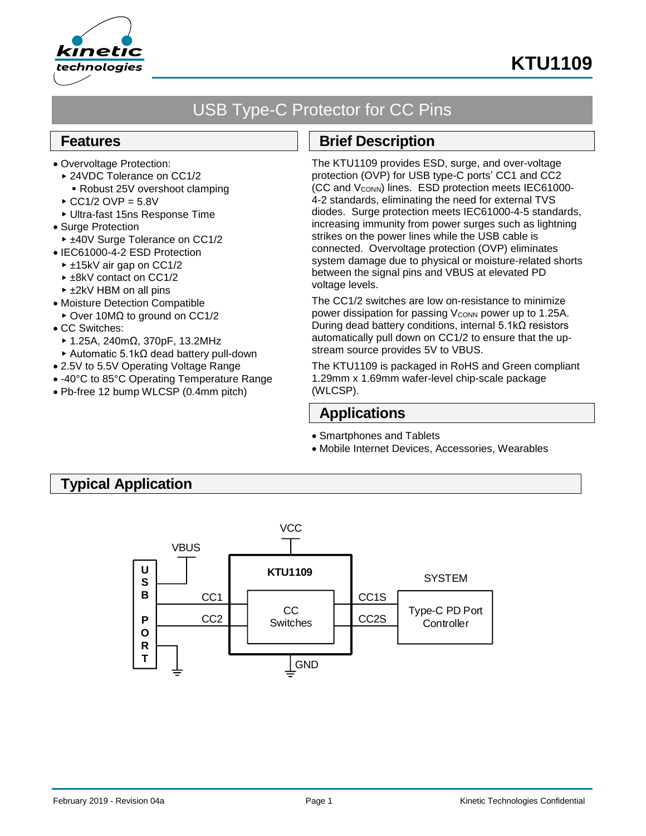

# **KTU1109**

# USB Type-C Protector for CC Pins

## **Features**

- Overvoltage Protection:
	- ▶ 24VDC Tolerance on CC1/2
	- Robust 25V overshoot clamping
	- $\triangle$  CC1/2 OVP = 5.8V
- Ultra-fast 15ns Response Time
- Surge Protection
- ► ±40V Surge Tolerance on CC1/2
- IEC61000-4-2 ESD Protection
	- ► ±15kV air gap on CC1/2
	- ► ±8kV contact on CC1/2
	- ±2kV HBM on all pins
- Moisture Detection Compatible
- Over 10MΩ to ground on CC1/2
- CC Switches:
	- 1.25A, 240mΩ, 370pF, 13.2MHz
	- Automatic 5.1kΩ dead battery pull-down
- 2.5V to 5.5V Operating Voltage Range
- -40°C to 85°C Operating Temperature Range
- Pb-free 12 bump WLCSP (0.4mm pitch)

## **Brief Description**

The KTU1109 provides ESD, surge, and over-voltage protection (OVP) for USB type-C ports' CC1 and CC2 (CC and V<sub>CONN</sub>) lines. ESD protection meets IEC61000-4-2 standards, eliminating the need for external TVS diodes. Surge protection meets IEC61000-4-5 standards, increasing immunity from power surges such as lightning strikes on the power lines while the USB cable is connected. Overvoltage protection (OVP) eliminates system damage due to physical or moisture-related shorts between the signal pins and VBUS at elevated PD voltage levels.

The CC1/2 switches are low on-resistance to minimize power dissipation for passing V<sub>CONN</sub> power up to 1.25A. During dead battery conditions, internal 5.1kΩ resistors automatically pull down on CC1/2 to ensure that the upstream source provides 5V to VBUS.

The KTU1109 is packaged in RoHS and Green compliant 1.29mm x 1.69mm wafer-level chip-scale package (WLCSP).

## **Applications**

- Smartphones and Tablets
- Mobile Internet Devices, Accessories, Wearables

## **Typical Application**

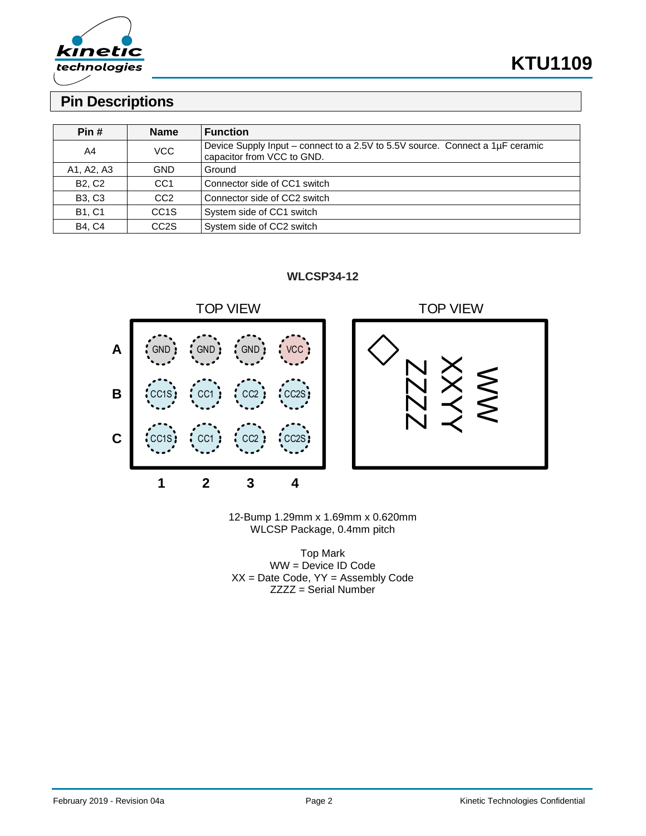

# **KTU1109**

## **Pin Descriptions**

| Pin #         | <b>Name</b>       | <b>Function</b>                                                                                             |
|---------------|-------------------|-------------------------------------------------------------------------------------------------------------|
| A4            | VCC               | Device Supply Input – connect to a 2.5V to 5.5V source. Connect a 1µF ceramic<br>capacitor from VCC to GND. |
| A1, A2, A3    | GND               | Ground                                                                                                      |
| <b>B2, C2</b> | CC <sub>1</sub>   | Connector side of CC1 switch                                                                                |
| <b>B3, C3</b> | CC <sub>2</sub>   | Connector side of CC2 switch                                                                                |
| <b>B1, C1</b> | CC <sub>1</sub> S | System side of CC1 switch                                                                                   |
| <b>B4, C4</b> | CC <sub>2</sub> S | System side of CC2 switch                                                                                   |

**WLCSP34-12**



12-Bump 1.29mm x 1.69mm x 0.620mm WLCSP Package, 0.4mm pitch

Top Mark WW = Device ID Code XX = Date Code, YY = Assembly Code ZZZZ = Serial Number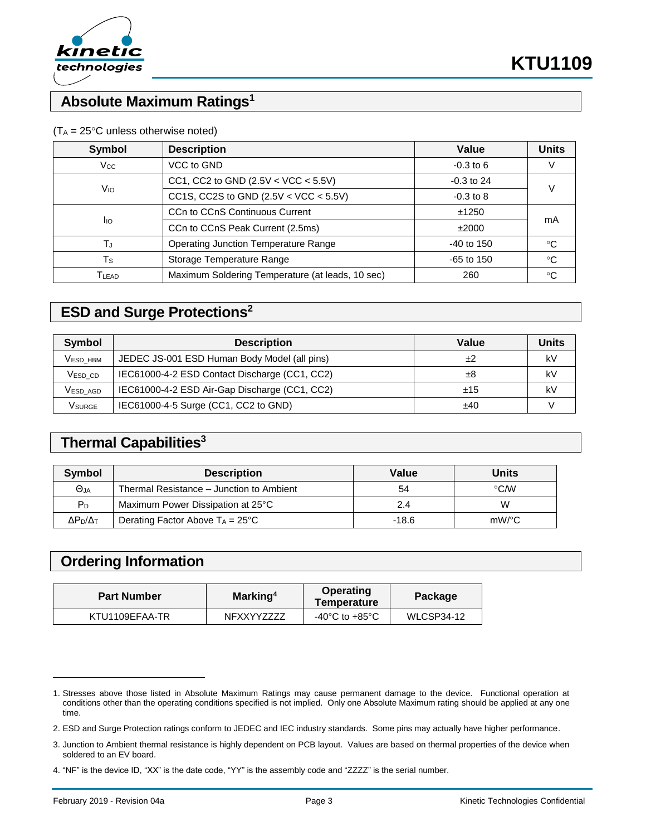

## **Absolute Maximum Ratings<sup>1</sup>**

| <b>Symbol</b> | <b>Description</b>                               | Value         | <b>Units</b> |  |
|---------------|--------------------------------------------------|---------------|--------------|--|
| $V_{\rm CC}$  | VCC to GND                                       | $-0.3$ to 6   |              |  |
|               | CC1, CC2 to GND $(2.5V < VCC < 5.5V)$            | $-0.3$ to 24  |              |  |
| Vю            | CC1S, CC2S to GND $(2.5V < VCC < 5.5V)$          | $-0.3$ to $8$ |              |  |
|               | CCn to CCnS Continuous Current                   | ±1250         | mA           |  |
| <b>I</b> IO   | CCn to CCnS Peak Current (2.5ms)                 | ±2000         |              |  |
|               | <b>Operating Junction Temperature Range</b>      | $-40$ to 150  | ℃            |  |
| Ts            | Storage Temperature Range                        | $-65$ to 150  | $^{\circ}C$  |  |
| Tlead         | Maximum Soldering Temperature (at leads, 10 sec) | 260           | °C           |  |

### $(T_A = 25^{\circ}C$  unless otherwise noted)

## **ESD and Surge Protections<sup>2</sup>**

| Symbol                          | <b>Description</b>                            | Value | Units |
|---------------------------------|-----------------------------------------------|-------|-------|
| <b>VESD HBM</b>                 | JEDEC JS-001 ESD Human Body Model (all pins)  | ±2    | kV    |
| V <sub>ESD</sub> c <sub>D</sub> | IEC61000-4-2 ESD Contact Discharge (CC1, CC2) | ±8    | k٧    |
| Vesd agd                        | IEC61000-4-2 ESD Air-Gap Discharge (CC1, CC2) | ±15   | k٧    |
| Vsurge                          | IEC61000-4-5 Surge (CC1, CC2 to GND)          | ±40   |       |

## **Thermal Capabilities<sup>3</sup>**

| Symbol                | <b>Description</b>                        | Value | <b>Units</b> |
|-----------------------|-------------------------------------------|-------|--------------|
| $\Theta$ JA           | Thermal Resistance – Junction to Ambient  | 54    | $\circ$ CM   |
| P <sub>D</sub>        | Maximum Power Dissipation at 25°C         | 2.4   | W            |
| $\Delta P_D/\Delta_T$ | Derating Factor Above $T_A = 25^{\circ}C$ | -18.6 | mW/°C        |

## **Ordering Information**

| <b>Part Number</b> | Operating<br>Marking <sup>4</sup><br>Temperature |                | Package    |  |
|--------------------|--------------------------------------------------|----------------|------------|--|
| KTU1109EFAA-TR     | NFXXYY7777                                       | -40°C to +85°C | WLCSP34-12 |  |

l

<sup>1.</sup> Stresses above those listed in Absolute Maximum Ratings may cause permanent damage to the device. Functional operation at conditions other than the operating conditions specified is not implied. Only one Absolute Maximum rating should be applied at any one time.

<sup>2.</sup> ESD and Surge Protection ratings conform to JEDEC and IEC industry standards. Some pins may actually have higher performance.

<sup>3.</sup> Junction to Ambient thermal resistance is highly dependent on PCB layout. Values are based on thermal properties of the device when soldered to an EV board.

<sup>4.</sup> "NF" is the device ID, "XX" is the date code, "YY" is the assembly code and "ZZZZ" is the serial number.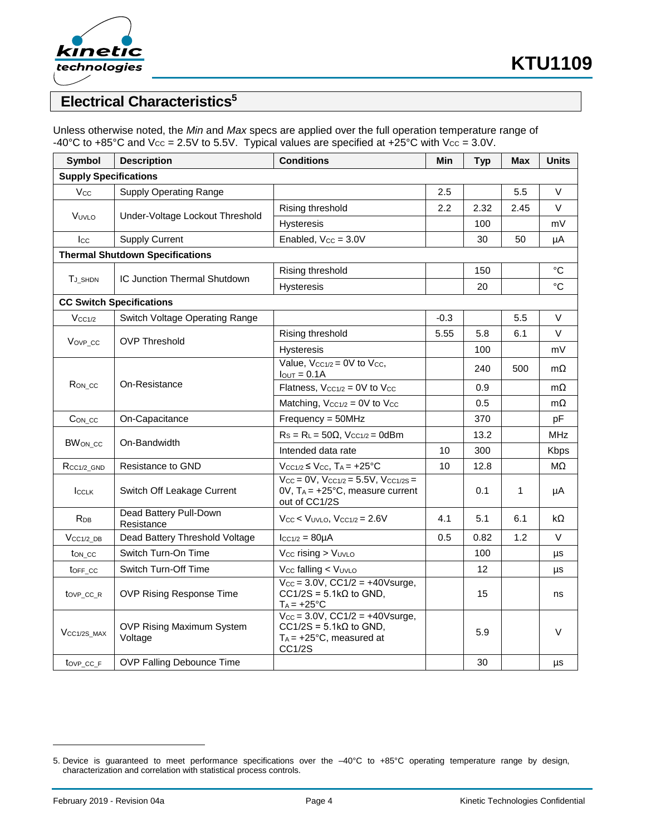

## **Electrical Characteristics<sup>5</sup>**

Unless otherwise noted, the *Min* and *Max* specs are applied over the full operation temperature range of -40°C to +85°C and  $V_{CC}$  = 2.5V to 5.5V. Typical values are specified at +25°C with  $V_{CC}$  = 3.0V.

| <b>Symbol</b>                          | <b>Description</b>                   | <b>Conditions</b>                                                                                                        | Min    | <b>Typ</b> | Max  | <b>Units</b> |
|----------------------------------------|--------------------------------------|--------------------------------------------------------------------------------------------------------------------------|--------|------------|------|--------------|
| <b>Supply Specifications</b>           |                                      |                                                                                                                          |        |            |      |              |
| V <sub>cc</sub>                        | <b>Supply Operating Range</b>        |                                                                                                                          | 2.5    |            | 5.5  | V            |
| VUVLO                                  | Under-Voltage Lockout Threshold      | Rising threshold                                                                                                         | 2.2    | 2.32       | 2.45 | V            |
|                                        |                                      | Hysteresis                                                                                                               |        | 100        |      | mV           |
| $_{\rm lcc}$                           | <b>Supply Current</b>                | Enabled, $V_{CC} = 3.0V$                                                                                                 |        | 30         | 50   | μA           |
| <b>Thermal Shutdown Specifications</b> |                                      |                                                                                                                          |        |            |      |              |
|                                        | IC Junction Thermal Shutdown         | Rising threshold                                                                                                         |        | 150        |      | °C           |
| T <sub>J_SHDN</sub>                    |                                      | Hysteresis                                                                                                               |        | 20         |      | °C           |
|                                        | <b>CC Switch Specifications</b>      |                                                                                                                          |        |            |      |              |
| $V_{CC1/2}$                            | Switch Voltage Operating Range       |                                                                                                                          | $-0.3$ |            | 5.5  | V            |
|                                        |                                      | Rising threshold                                                                                                         | 5.55   | 5.8        | 6.1  | V            |
| Vov <sub>P</sub> cc                    | <b>OVP Threshold</b>                 | Hysteresis                                                                                                               |        | 100        |      | mV           |
|                                        | On-Resistance                        | Value, $V_{CC1/2} = 0V$ to $V_{CC}$ ,<br>$IQUT = 0.1A$                                                                   |        | 240        | 500  | $m\Omega$    |
| R <sub>ON_CC</sub>                     |                                      | Flatness, $V_{CC1/2} = 0V$ to $V_{CC}$                                                                                   |        | 0.9        |      | mΩ           |
|                                        |                                      | Matching, $V_{CC1/2} = 0V$ to $V_{CC}$                                                                                   |        | 0.5        |      | $m\Omega$    |
| $Con\_cc$                              | On-Capacitance                       | $Frequency = 50MHz$                                                                                                      |        | 370        |      | pF           |
| <b>BWON CC</b>                         | On-Bandwidth                         | $Rs = R_L = 50\Omega$ , $V_{CC1/2} = 0dBm$                                                                               |        | 13.2       |      | <b>MHz</b>   |
|                                        |                                      | Intended data rate                                                                                                       | 10     | 300        |      | Kbps         |
| $R_{CC1/2}$ GND                        | Resistance to GND                    | $V_{CC1/2} \leq V_{CC}$ , $T_A = +25$ °C                                                                                 | 10     | 12.8       |      | $M\Omega$    |
| <b>ICCLK</b>                           | Switch Off Leakage Current           | $V_{CC} = 0V$ , $V_{CC1/2} = 5.5V$ , $V_{CC1/2S} =$<br>$OV, T_A = +25°C, measure current$<br>out of CC1/2S               |        | 0.1        | 1    | μA           |
| <b>R</b> <sub>DB</sub>                 | Dead Battery Pull-Down<br>Resistance | $V_{CC}$ < $V_{UVLO}$ , $V_{CC1/2}$ = 2.6V                                                                               | 4.1    | 5.1        | 6.1  | kΩ           |
| $VCC1/2$ DB                            | Dead Battery Threshold Voltage       | $ _{CC1/2} = 80 \mu A$                                                                                                   | 0.5    | 0.82       | 1.2  | V            |
| ton_cc                                 | Switch Turn-On Time                  | Vcc rising > VUVLO                                                                                                       |        | 100        |      | μs           |
| toff cc                                | Switch Turn-Off Time                 | V <sub>cc</sub> falling < V <sub>UVLO</sub>                                                                              |        | 12         |      | μs           |
| tov <sub>P_CC_R</sub>                  | OVP Rising Response Time             | $V_{CC} = 3.0V$ , $CC1/2 = +40V$ surge,<br>$CC1/2S = 5.1k\Omega$ to GND,<br>$T_A = +25$ °C                               |        | 15         |      | ns           |
| V <sub>CC1/2S</sub> MAX                | OVP Rising Maximum System<br>Voltage | $V_{CC} = 3.0V$ , $CC1/2 = +40V$ surge,<br>$CC1/2S = 5.1k\Omega$ to GND,<br>$T_A = +25$ °C, measured at<br><b>CC1/2S</b> |        | 5.9        |      | $\vee$       |
| tovp cc F                              | <b>OVP Falling Debounce Time</b>     |                                                                                                                          |        | 30         |      | μs           |

l

<sup>5.</sup> Device is guaranteed to meet performance specifications over the –40°C to +85°C operating temperature range by design, characterization and correlation with statistical process controls.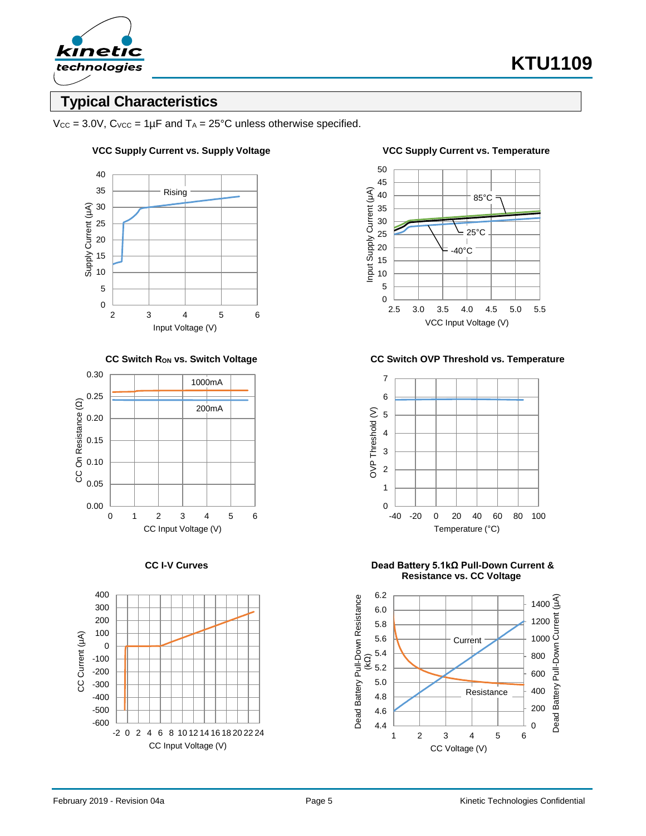

## **Typical Characteristics**

 $V_{\text{CC}} = 3.0V$ ,  $C_{\text{VCC}} = 1 \mu F$  and  $T_A = 25^{\circ}C$  unless otherwise specified.

### 40 35 Rising 30 Supply Current (µA) Supply Current (µA) 25 20 15 10 5 0 2 3 4 5 6 Input Voltage (V)







### **VCC Supply Current vs. Supply Voltage VCC Supply Current vs. Temperature**

**CC Switch RON vs. Switch Voltage CC Switch OVP Threshold vs. Temperature**



**CC I-V Curves Dead Battery 5.1kΩ Pull-Down Current & Resistance vs. CC Voltage**

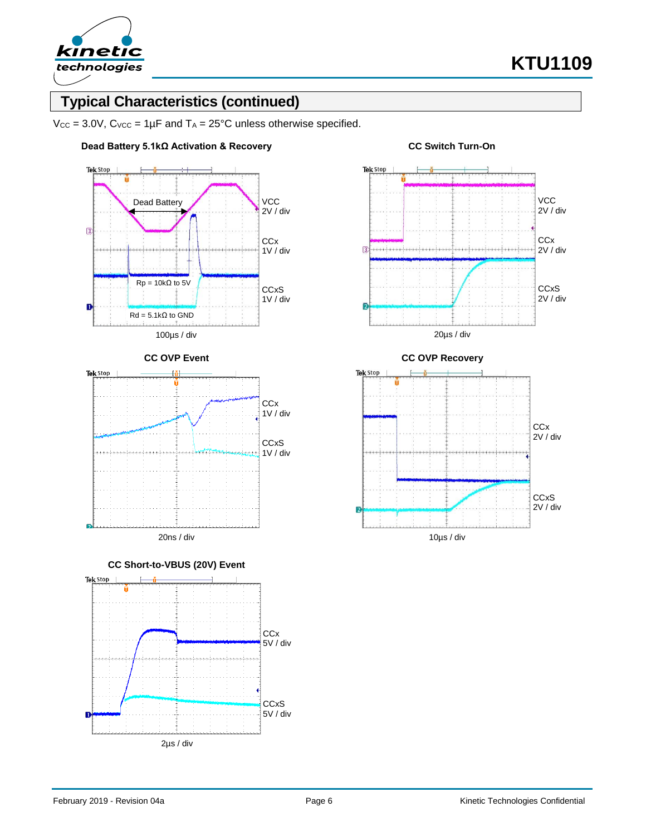

## **Typical Characteristics (continued)**

 $V_{CC}$  = 3.0V,  $C_{VCC}$  = 1µF and  $T_A$  = 25°C unless otherwise specified.









20ns / div







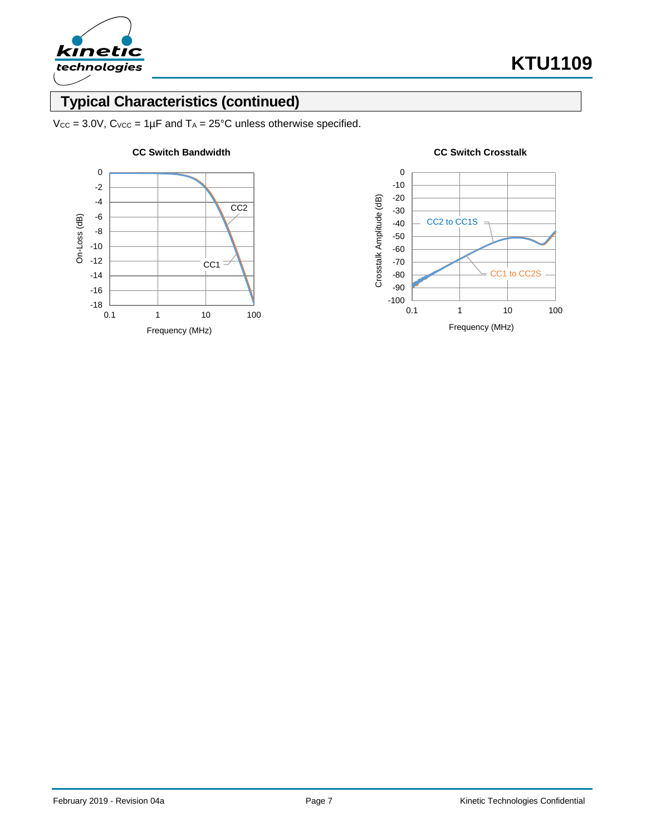

# **Typical Characteristics (continued)**

 $V_{CC}$  = 3.0V,  $C_{VCC}$  = 1µF and  $T_A$  = 25°C unless otherwise specified.





### **CC Switch Bandwidth CC Switch Crosstalk**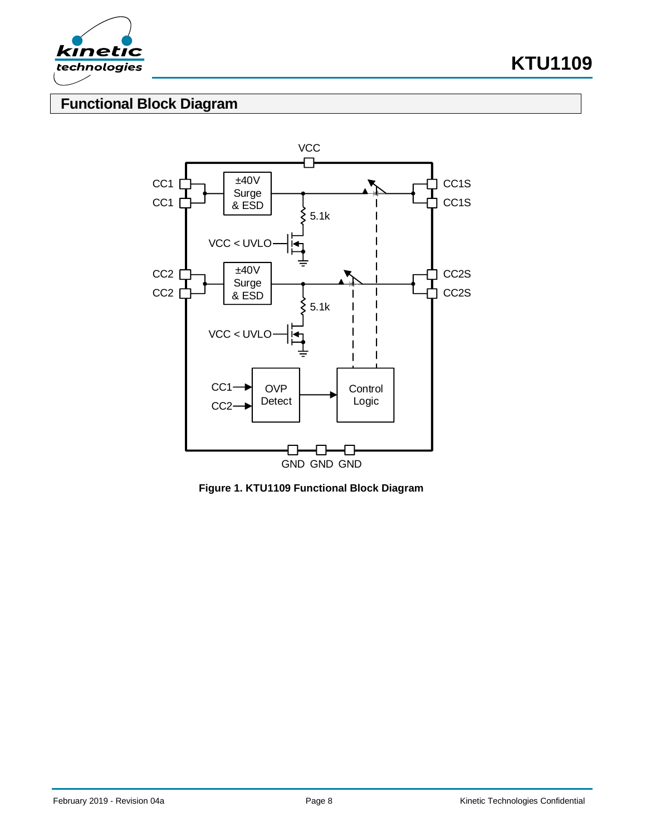

**KTU1109**

# **Functional Block Diagram**



**Figure 1. KTU1109 Functional Block Diagram**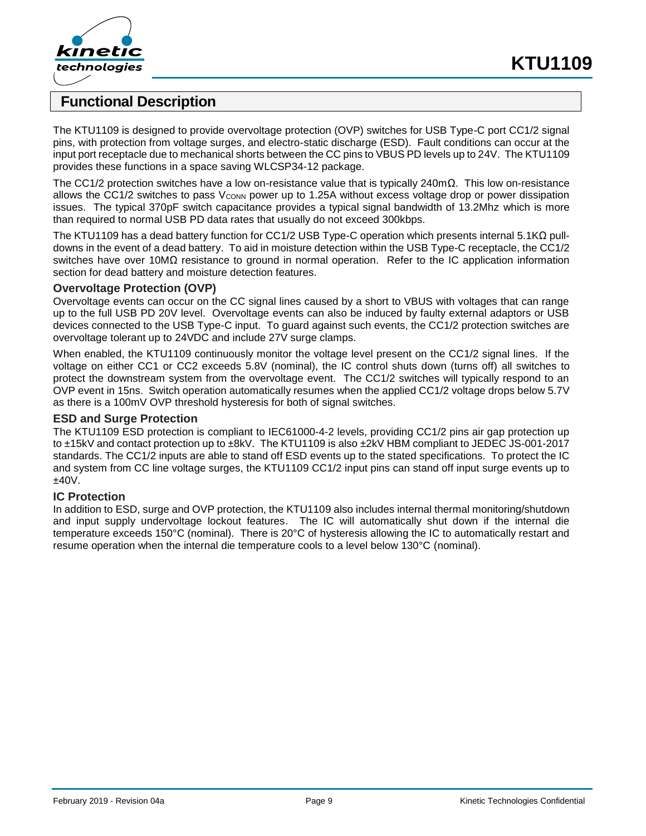



## **Functional Description**

The KTU1109 is designed to provide overvoltage protection (OVP) switches for USB Type-C port CC1/2 signal pins, with protection from voltage surges, and electro-static discharge (ESD). Fault conditions can occur at the input port receptacle due to mechanical shorts between the CC pins to VBUS PD levels up to 24V. The KTU1109 provides these functions in a space saving WLCSP34-12 package.

The CC1/2 protection switches have a low on-resistance value that is typically 240mΩ. This low on-resistance allows the CC1/2 switches to pass V<sub>CONN</sub> power up to 1.25A without excess voltage drop or power dissipation issues. The typical 370pF switch capacitance provides a typical signal bandwidth of 13.2Mhz which is more than required to normal USB PD data rates that usually do not exceed 300kbps.

The KTU1109 has a dead battery function for CC1/2 USB Type-C operation which presents internal 5.1KΩ pulldowns in the event of a dead battery. To aid in moisture detection within the USB Type-C receptacle, the CC1/2 switches have over 10MΩ resistance to ground in normal operation. Refer to the IC application information section for dead battery and moisture detection features.

### **Overvoltage Protection (OVP)**

Overvoltage events can occur on the CC signal lines caused by a short to VBUS with voltages that can range up to the full USB PD 20V level. Overvoltage events can also be induced by faulty external adaptors or USB devices connected to the USB Type-C input. To guard against such events, the CC1/2 protection switches are overvoltage tolerant up to 24VDC and include 27V surge clamps.

When enabled, the KTU1109 continuously monitor the voltage level present on the CC1/2 signal lines. If the voltage on either CC1 or CC2 exceeds 5.8V (nominal), the IC control shuts down (turns off) all switches to protect the downstream system from the overvoltage event. The CC1/2 switches will typically respond to an OVP event in 15ns. Switch operation automatically resumes when the applied CC1/2 voltage drops below 5.7V as there is a 100mV OVP threshold hysteresis for both of signal switches.

### **ESD and Surge Protection**

The KTU1109 ESD protection is compliant to IEC61000-4-2 levels, providing CC1/2 pins air gap protection up to ±15kV and contact protection up to ±8kV. The KTU1109 is also ±2kV HBM compliant to JEDEC JS-001-2017 standards. The CC1/2 inputs are able to stand off ESD events up to the stated specifications. To protect the IC and system from CC line voltage surges, the KTU1109 CC1/2 input pins can stand off input surge events up to ±40V.

### **IC Protection**

In addition to ESD, surge and OVP protection, the KTU1109 also includes internal thermal monitoring/shutdown and input supply undervoltage lockout features. The IC will automatically shut down if the internal die temperature exceeds 150°C (nominal). There is 20°C of hysteresis allowing the IC to automatically restart and resume operation when the internal die temperature cools to a level below 130°C (nominal).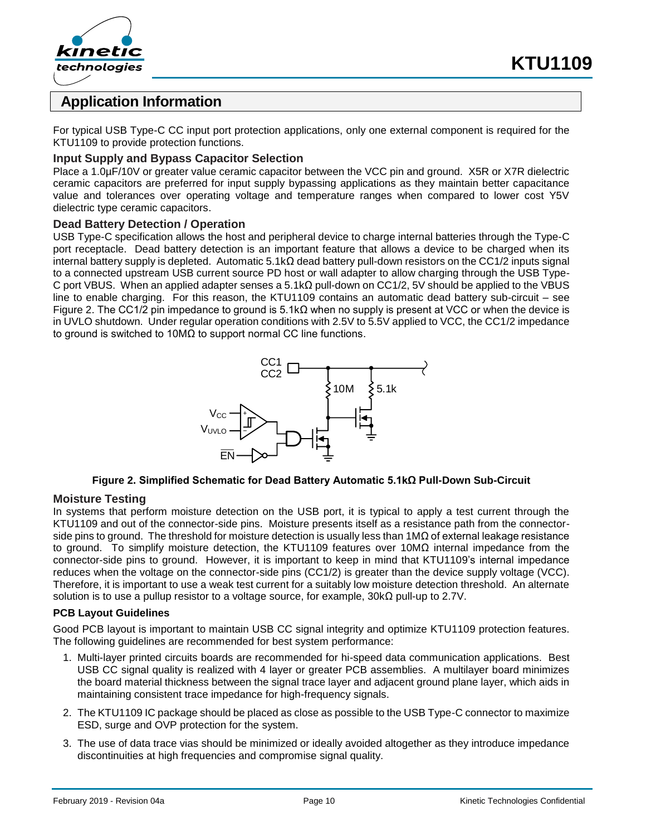



## **Application Information**

For typical USB Type-C CC input port protection applications, only one external component is required for the KTU1109 to provide protection functions.

### **Input Supply and Bypass Capacitor Selection**

Place a 1.0µF/10V or greater value ceramic capacitor between the VCC pin and ground. X5R or X7R dielectric ceramic capacitors are preferred for input supply bypassing applications as they maintain better capacitance value and tolerances over operating voltage and temperature ranges when compared to lower cost Y5V dielectric type ceramic capacitors.

### **Dead Battery Detection / Operation**

USB Type-C specification allows the host and peripheral device to charge internal batteries through the Type-C port receptacle. Dead battery detection is an important feature that allows a device to be charged when its internal battery supply is depleted. Automatic 5.1kΩ dead battery pull-down resistors on the CC1/2 inputs signal to a connected upstream USB current source PD host or wall adapter to allow charging through the USB Type-C port VBUS. When an applied adapter senses a 5.1kΩ pull-down on CC1/2, 5V should be applied to the VBUS line to enable charging. For this reason, the KTU1109 contains an automatic dead battery sub-circuit – see [Figure 2.](#page-9-0) The CC1/2 pin impedance to ground is 5.1kΩ when no supply is present at VCC or when the device is in UVLO shutdown. Under regular operation conditions with 2.5V to 5.5V applied to VCC, the CC1/2 impedance to ground is switched to 10MΩ to support normal CC line functions.



### **Figure 2. Simplified Schematic for Dead Battery Automatic 5.1kΩ Pull-Down Sub-Circuit**

### <span id="page-9-0"></span>**Moisture Testing**

In systems that perform moisture detection on the USB port, it is typical to apply a test current through the KTU1109 and out of the connector-side pins. Moisture presents itself as a resistance path from the connectorside pins to ground. The threshold for moisture detection is usually less than 1M $\Omega$  of external leakage resistance to ground. To simplify moisture detection, the KTU1109 features over 10MΩ internal impedance from the connector-side pins to ground. However, it is important to keep in mind that KTU1109's internal impedance reduces when the voltage on the connector-side pins (CC1/2) is greater than the device supply voltage (VCC). Therefore, it is important to use a weak test current for a suitably low moisture detection threshold. An alternate solution is to use a pullup resistor to a voltage source, for example,  $30k\Omega$  pull-up to 2.7V.

### **PCB Layout Guidelines**

Good PCB layout is important to maintain USB CC signal integrity and optimize KTU1109 protection features. The following guidelines are recommended for best system performance:

- 1. Multi-layer printed circuits boards are recommended for hi-speed data communication applications. Best USB CC signal quality is realized with 4 layer or greater PCB assemblies. A multilayer board minimizes the board material thickness between the signal trace layer and adjacent ground plane layer, which aids in maintaining consistent trace impedance for high-frequency signals.
- 2. The KTU1109 IC package should be placed as close as possible to the USB Type-C connector to maximize ESD, surge and OVP protection for the system.
- 3. The use of data trace vias should be minimized or ideally avoided altogether as they introduce impedance discontinuities at high frequencies and compromise signal quality.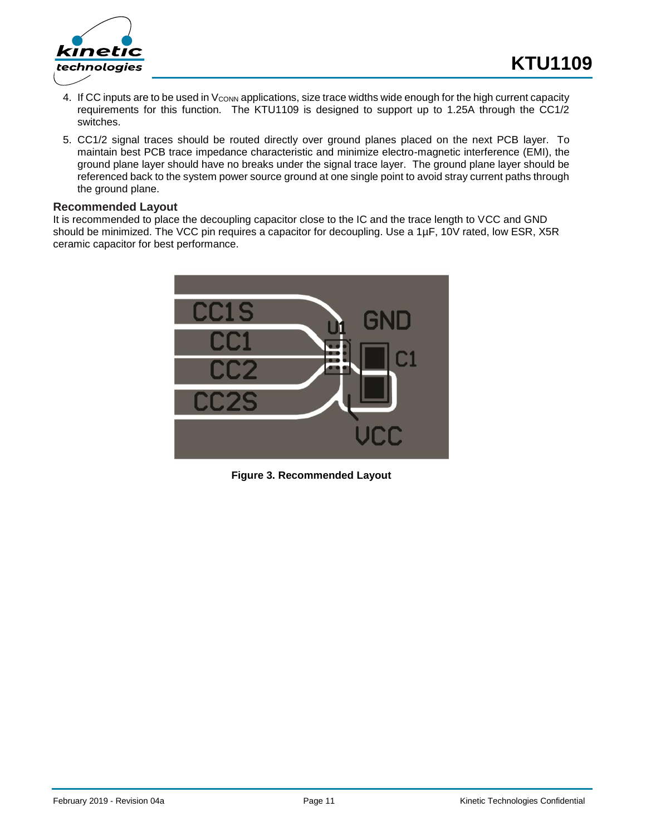

- 4. If CC inputs are to be used in V<sub>CONN</sub> applications, size trace widths wide enough for the high current capacity requirements for this function. The KTU1109 is designed to support up to 1.25A through the CC1/2 switches.
- 5. CC1/2 signal traces should be routed directly over ground planes placed on the next PCB layer. To maintain best PCB trace impedance characteristic and minimize electro-magnetic interference (EMI), the ground plane layer should have no breaks under the signal trace layer. The ground plane layer should be referenced back to the system power source ground at one single point to avoid stray current paths through the ground plane.

### **Recommended Layout**

It is recommended to place the decoupling capacitor close to the IC and the trace length to VCC and GND should be minimized. The VCC pin requires a capacitor for decoupling. Use a 1µF, 10V rated, low ESR, X5R ceramic capacitor for best performance.



**Figure 3. Recommended Layout**